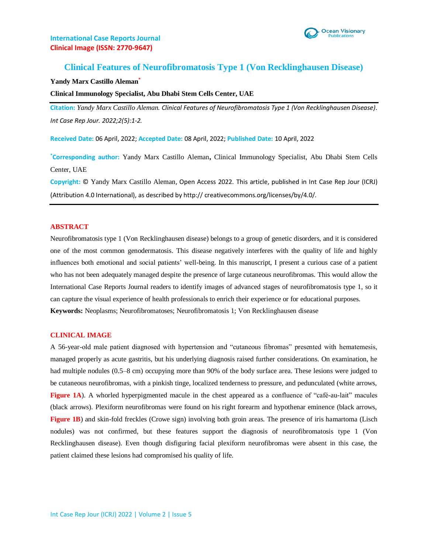

# **Clinical Features of Neurofibromatosis Type 1 (Von Recklinghausen Disease)**

#### **Yandy Marx Castillo Aleman\***

#### **Clinical Immunology Specialist, Abu Dhabi Stem Cells Center, UAE**

**Citation:** *Yandy Marx Castillo Aleman. Clinical Features of Neurofibromatosis Type 1 (Von Recklinghausen Disease). Int Case Rep Jour. 2022;2(5):1-2.*

**Received Date:** 06 April, 2022; **Accepted Date:** 08 April, 2022; **Published Date:** 10 April, 2022

**\*Corresponding author:** Yandy Marx Castillo Aleman**,** Clinical Immunology Specialist, Abu Dhabi Stem Cells Center, UAE

**Copyright:** © Yandy Marx Castillo Aleman, Open Access 2022. This article, published in Int Case Rep Jour (ICRJ) (Attribution 4.0 International), as described by http:// creativecommons.org/licenses/by/4.0/.

#### **ABSTRACT**

Neurofibromatosis type 1 (Von Recklinghausen disease) belongs to a group of genetic disorders, and it is considered one of the most common genodermatosis. This disease negatively interferes with the quality of life and highly influences both emotional and social patients' well-being. In this manuscript, I present a curious case of a patient who has not been adequately managed despite the presence of large cutaneous neurofibromas. This would allow the International Case Reports Journal readers to identify images of advanced stages of neurofibromatosis type 1, so it can capture the visual experience of health professionals to enrich their experience or for educational purposes. **Keywords:** Neoplasms; Neurofibromatoses; Neurofibromatosis 1; Von Recklinghausen disease

#### **CLINICAL IMAGE**

A 56-year-old male patient diagnosed with hypertension and "cutaneous fibromas" presented with hematemesis, managed properly as acute gastritis, but his underlying diagnosis raised further considerations. On examination, he had multiple nodules (0.5–8 cm) occupying more than 90% of the body surface area. These lesions were judged to be cutaneous neurofibromas, with a pinkish tinge, localized tenderness to pressure, and pedunculated (white arrows, **Figure 1A**). A whorled hyperpigmented macule in the chest appeared as a confluence of "café-au-lait" macules (black arrows). Plexiform neurofibromas were found on his right forearm and hypothenar eminence (black arrows, **Figure 1B**) and skin-fold freckles (Crowe sign) involving both groin areas. The presence of iris hamartoma (Lisch nodules) was not confirmed, but these features support the diagnosis of neurofibromatosis type 1 (Von Recklinghausen disease). Even though disfiguring facial plexiform neurofibromas were absent in this case, the patient claimed these lesions had compromised his quality of life.